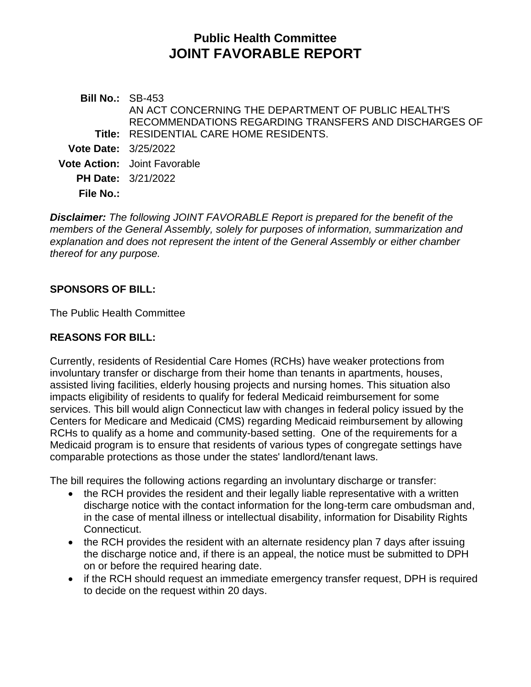# **Public Health Committee JOINT FAVORABLE REPORT**

**Bill No.:** SB-453 **Title:** RESIDENTIAL CARE HOME RESIDENTS. AN ACT CONCERNING THE DEPARTMENT OF PUBLIC HEALTH'S RECOMMENDATIONS REGARDING TRANSFERS AND DISCHARGES OF **Vote Date:** 3/25/2022 **Vote Action:** Joint Favorable **PH Date:** 3/21/2022 **File No.:**

*Disclaimer: The following JOINT FAVORABLE Report is prepared for the benefit of the members of the General Assembly, solely for purposes of information, summarization and explanation and does not represent the intent of the General Assembly or either chamber thereof for any purpose.*

# **SPONSORS OF BILL:**

The Public Health Committee

## **REASONS FOR BILL:**

Currently, residents of Residential Care Homes (RCHs) have weaker protections from involuntary transfer or discharge from their home than tenants in apartments, houses, assisted living facilities, elderly housing projects and nursing homes. This situation also impacts eligibility of residents to qualify for federal Medicaid reimbursement for some services. This bill would align Connecticut law with changes in federal policy issued by the Centers for Medicare and Medicaid (CMS) regarding Medicaid reimbursement by allowing RCHs to qualify as a home and community-based setting. One of the requirements for a Medicaid program is to ensure that residents of various types of congregate settings have comparable protections as those under the states' landlord/tenant laws.

The bill requires the following actions regarding an involuntary discharge or transfer:

- the RCH provides the resident and their legally liable representative with a written discharge notice with the contact information for the long-term care ombudsman and, in the case of mental illness or intellectual disability, information for Disability Rights Connecticut.
- the RCH provides the resident with an alternate residency plan 7 days after issuing the discharge notice and, if there is an appeal, the notice must be submitted to DPH on or before the required hearing date.
- if the RCH should request an immediate emergency transfer request, DPH is required to decide on the request within 20 days.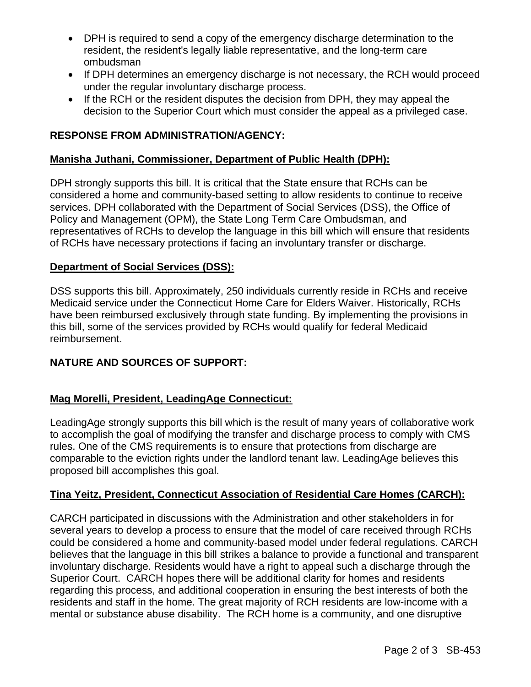- DPH is required to send a copy of the emergency discharge determination to the resident, the resident's legally liable representative, and the long-term care ombudsman
- If DPH determines an emergency discharge is not necessary, the RCH would proceed under the regular involuntary discharge process.
- If the RCH or the resident disputes the decision from DPH, they may appeal the decision to the Superior Court which must consider the appeal as a privileged case.

## **RESPONSE FROM ADMINISTRATION/AGENCY:**

### **Manisha Juthani, Commissioner, Department of Public Health (DPH):**

DPH strongly supports this bill. It is critical that the State ensure that RCHs can be considered a home and community-based setting to allow residents to continue to receive services. DPH collaborated with the Department of Social Services (DSS), the Office of Policy and Management (OPM), the State Long Term Care Ombudsman, and representatives of RCHs to develop the language in this bill which will ensure that residents of RCHs have necessary protections if facing an involuntary transfer or discharge.

## **Department of Social Services (DSS):**

DSS supports this bill. Approximately, 250 individuals currently reside in RCHs and receive Medicaid service under the Connecticut Home Care for Elders Waiver. Historically, RCHs have been reimbursed exclusively through state funding. By implementing the provisions in this bill, some of the services provided by RCHs would qualify for federal Medicaid reimbursement.

# **NATURE AND SOURCES OF SUPPORT:**

#### **Mag Morelli, President, LeadingAge Connecticut:**

LeadingAge strongly supports this bill which is the result of many years of collaborative work to accomplish the goal of modifying the transfer and discharge process to comply with CMS rules. One of the CMS requirements is to ensure that protections from discharge are comparable to the eviction rights under the landlord tenant law. LeadingAge believes this proposed bill accomplishes this goal.

#### **Tina Yeitz, President, Connecticut Association of Residential Care Homes (CARCH):**

CARCH participated in discussions with the Administration and other stakeholders in for several years to develop a process to ensure that the model of care received through RCHs could be considered a home and community-based model under federal regulations. CARCH believes that the language in this bill strikes a balance to provide a functional and transparent involuntary discharge. Residents would have a right to appeal such a discharge through the Superior Court. CARCH hopes there will be additional clarity for homes and residents regarding this process, and additional cooperation in ensuring the best interests of both the residents and staff in the home. The great majority of RCH residents are low-income with a mental or substance abuse disability. The RCH home is a community, and one disruptive